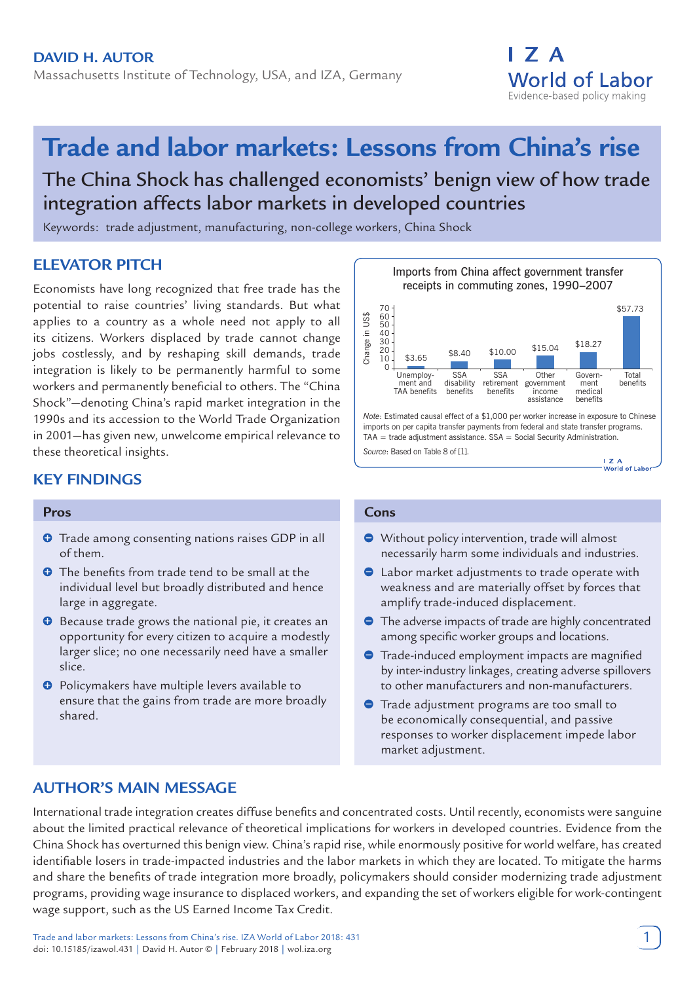

# **Trade and labor markets: Lessons from China's rise**

The China Shock has challenged economists' benign view of how trade integration affects labor markets in developed countries

Keywords: trade adjustment, manufacturing, non-college workers, China Shock

# **ELEVATOR PITCH**

Economists have long recognized that free trade has the potential to raise countries' living standards. But what applies to a country as a whole need not apply to all its citizens. Workers displaced by trade cannot change jobs costlessly, and by reshaping skill demands, trade integration is likely to be permanently harmful to some workers and permanently beneficial to others. The "China Shock"—denoting China's rapid market integration in the 1990s and its accession to the World Trade Organization in 2001—has given new, unwelcome empirical relevance to these theoretical insights.

# **KEY FINDINGS**

## **Pros**

- **O** Trade among consenting nations raises GDP in all of them.
- **O** The benefits from trade tend to be small at the individual level but broadly distributed and hence large in aggregate.
- **O** Because trade grows the national pie, it creates an opportunity for every citizen to acquire a modestly larger slice; no one necessarily need have a smaller slice.
- $\Theta$  Policymakers have multiple levers available to ensure that the gains from trade are more broadly shared.



#### **Cons**

- Without policy intervention, trade will almost necessarily harm some individuals and industries.
- Labor market adjustments to trade operate with weakness and are materially offset by forces that amplify trade-induced displacement.
- **•** The adverse impacts of trade are highly concentrated among specific worker groups and locations.
- **•** Trade-induced employment impacts are magnified by inter-industry linkages, creating adverse spillovers to other manufacturers and non-manufacturers.
- **Trade adjustment programs are too small to** be economically consequential, and passive responses to worker displacement impede labor market adjustment.

# **AUTHOR'S MAIN MESSAGE**

International trade integration creates diffuse benefits and concentrated costs. Until recently, economists were sanguine about the limited practical relevance of theoretical implications for workers in developed countries. Evidence from the China Shock has overturned this benign view. China's rapid rise, while enormously positive for world welfare, has created identifiable losers in trade-impacted industries and the labor markets in which they are located. To mitigate the harms and share the benefits of trade integration more broadly, policymakers should consider modernizing trade adjustment programs, providing wage insurance to displaced workers, and expanding the set of workers eligible for work-contingent wage support, such as the US Earned Income Tax Credit.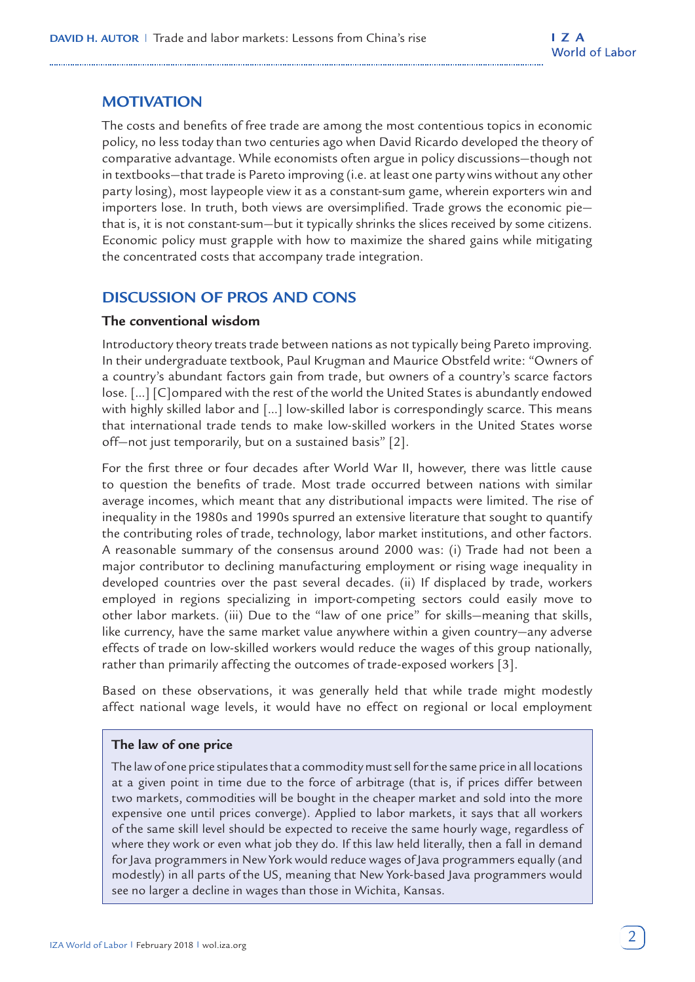# **MOTIVATION**

The costs and benefits of free trade are among the most contentious topics in economic policy, no less today than two centuries ago when David Ricardo developed the theory of comparative advantage. While economists often argue in policy discussions—though not in textbooks—that trade is Pareto improving (i.e. at least one party wins without any other party losing), most laypeople view it as a constant-sum game, wherein exporters win and importers lose. In truth, both views are oversimplified. Trade grows the economic pie that is, it is not constant-sum—but it typically shrinks the slices received by some citizens. Economic policy must grapple with how to maximize the shared gains while mitigating the concentrated costs that accompany trade integration.

# **DISCUSSION OF PROS AND CONS**

## **The conventional wisdom**

Introductory theory treats trade between nations as not typically being Pareto improving. In their undergraduate textbook, Paul Krugman and Maurice Obstfeld write: "Owners of a country's abundant factors gain from trade, but owners of a country's scarce factors lose. [...] [C]ompared with the rest of the world the United States is abundantly endowed with highly skilled labor and [...] low-skilled labor is correspondingly scarce. This means that international trade tends to make low-skilled workers in the United States worse off—not just temporarily, but on a sustained basis" [2].

For the first three or four decades after World War II, however, there was little cause to question the benefits of trade. Most trade occurred between nations with similar average incomes, which meant that any distributional impacts were limited. The rise of inequality in the 1980s and 1990s spurred an extensive literature that sought to quantify the contributing roles of trade, technology, labor market institutions, and other factors. A reasonable summary of the consensus around 2000 was: (i) Trade had not been a major contributor to declining manufacturing employment or rising wage inequality in developed countries over the past several decades. (ii) If displaced by trade, workers employed in regions specializing in import-competing sectors could easily move to other labor markets. (iii) Due to the "law of one price" for skills—meaning that skills, like currency, have the same market value anywhere within a given country—any adverse effects of trade on low-skilled workers would reduce the wages of this group nationally, rather than primarily affecting the outcomes of trade-exposed workers [3].

Based on these observations, it was generally held that while trade might modestly affect national wage levels, it would have no effect on regional or local employment

## **The law of one price**

The law of one price stipulates that a commodity must sell for the same price in all locations at a given point in time due to the force of arbitrage (that is, if prices differ between two markets, commodities will be bought in the cheaper market and sold into the more expensive one until prices converge). Applied to labor markets, it says that all workers of the same skill level should be expected to receive the same hourly wage, regardless of where they work or even what job they do. If this law held literally, then a fall in demand for Java programmers in New York would reduce wages of Java programmers equally (and modestly) in all parts of the US, meaning that New York-based Java programmers would see no larger a decline in wages than those in Wichita, Kansas.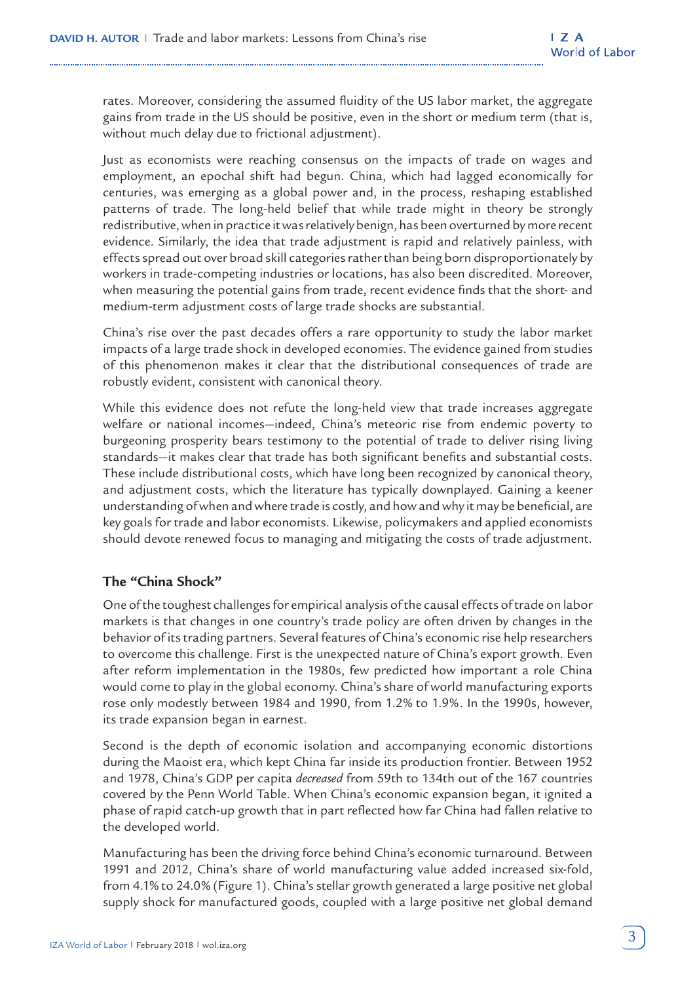rates. Moreover, considering the assumed fluidity of the US labor market, the aggregate gains from trade in the US should be positive, even in the short or medium term (that is, without much delay due to frictional adjustment).

Just as economists were reaching consensus on the impacts of trade on wages and employment, an epochal shift had begun. China, which had lagged economically for centuries, was emerging as a global power and, in the process, reshaping established patterns of trade. The long-held belief that while trade might in theory be strongly redistributive, when in practice it was relatively benign, has been overturned by more recent evidence. Similarly, the idea that trade adjustment is rapid and relatively painless, with effects spread out over broad skill categories rather than being born disproportionately by workers in trade-competing industries or locations, has also been discredited. Moreover, when measuring the potential gains from trade, recent evidence finds that the short- and medium-term adjustment costs of large trade shocks are substantial.

China's rise over the past decades offers a rare opportunity to study the labor market impacts of a large trade shock in developed economies. The evidence gained from studies of this phenomenon makes it clear that the distributional consequences of trade are robustly evident, consistent with canonical theory.

While this evidence does not refute the long-held view that trade increases aggregate welfare or national incomes—indeed, China's meteoric rise from endemic poverty to burgeoning prosperity bears testimony to the potential of trade to deliver rising living standards—it makes clear that trade has both significant benefits and substantial costs. These include distributional costs, which have long been recognized by canonical theory, and adjustment costs, which the literature has typically downplayed. Gaining a keener understanding of when and where trade is costly, and how and why it may be beneficial, are key goals for trade and labor economists. Likewise, policymakers and applied economists should devote renewed focus to managing and mitigating the costs of trade adjustment.

## **The "China Shock"**

One of the toughest challenges for empirical analysis of the causal effects of trade on labor markets is that changes in one country's trade policy are often driven by changes in the behavior of its trading partners. Several features of China's economic rise help researchers to overcome this challenge. First is the unexpected nature of China's export growth. Even after reform implementation in the 1980s, few predicted how important a role China would come to play in the global economy. China's share of world manufacturing exports rose only modestly between 1984 and 1990, from 1.2% to 1.9%. In the 1990s, however, its trade expansion began in earnest.

Second is the depth of economic isolation and accompanying economic distortions during the Maoist era, which kept China far inside its production frontier. Between 1952 and 1978, China's GDP per capita *decreased* from 59th to 134th out of the 167 countries covered by the Penn World Table. When China's economic expansion began, it ignited a phase of rapid catch-up growth that in part reflected how far China had fallen relative to the developed world.

Manufacturing has been the driving force behind China's economic turnaround. Between 1991 and 2012, China's share of world manufacturing value added increased six-fold, from 4.1% to 24.0% (Figure 1). China's stellar growth generated a large positive net global supply shock for manufactured goods, coupled with a large positive net global demand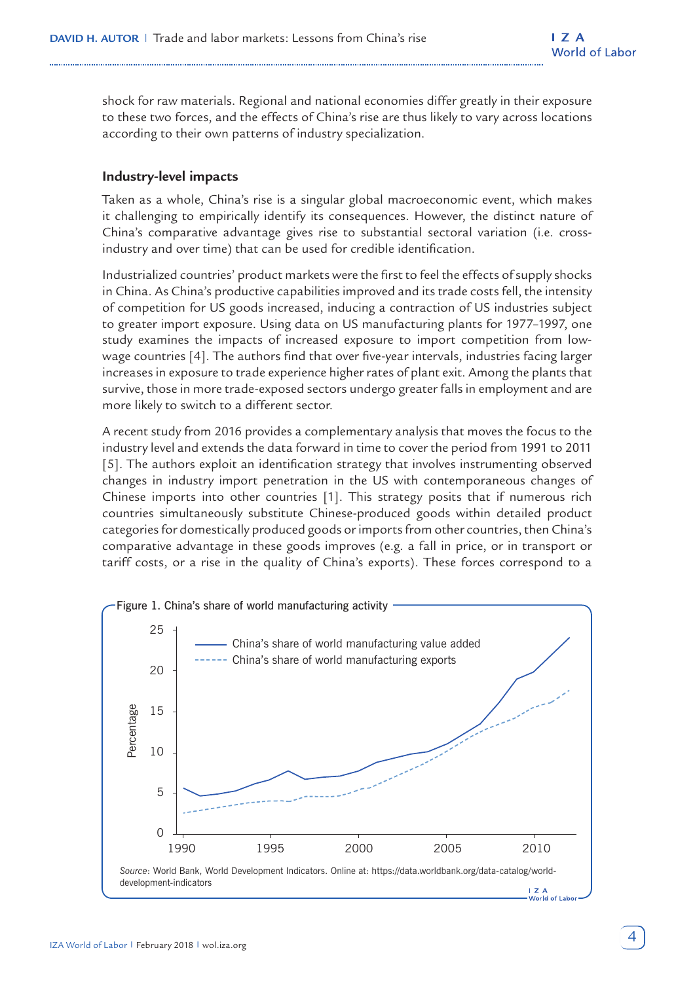shock for raw materials. Regional and national economies differ greatly in their exposure to these two forces, and the effects of China's rise are thus likely to vary across locations according to their own patterns of industry specialization.

## **Industry-level impacts**

Taken as a whole, China's rise is a singular global macroeconomic event, which makes it challenging to empirically identify its consequences. However, the distinct nature of China's comparative advantage gives rise to substantial sectoral variation (i.e. crossindustry and over time) that can be used for credible identification.

Industrialized countries' product markets were the first to feel the effects of supply shocks in China. As China's productive capabilities improved and its trade costs fell, the intensity of competition for US goods increased, inducing a contraction of US industries subject to greater import exposure. Using data on US manufacturing plants for 1977–1997, one study examines the impacts of increased exposure to import competition from lowwage countries [4]. The authors find that over five-year intervals, industries facing larger increases in exposure to trade experience higher rates of plant exit. Among the plants that survive, those in more trade-exposed sectors undergo greater falls in employment and are more likely to switch to a different sector.

A recent study from 2016 provides a complementary analysis that moves the focus to the industry level and extends the data forward in time to cover the period from 1991 to 2011 [5]. The authors exploit an identification strategy that involves instrumenting observed changes in industry import penetration in the US with contemporaneous changes of Chinese imports into other countries [1]. This strategy posits that if numerous rich countries simultaneously substitute Chinese-produced goods within detailed product categories for domestically produced goods or imports from other countries, then China's comparative advantage in these goods improves (e.g. a fall in price, or in transport or tariff costs, or a rise in the quality of China's exports). These forces correspond to a

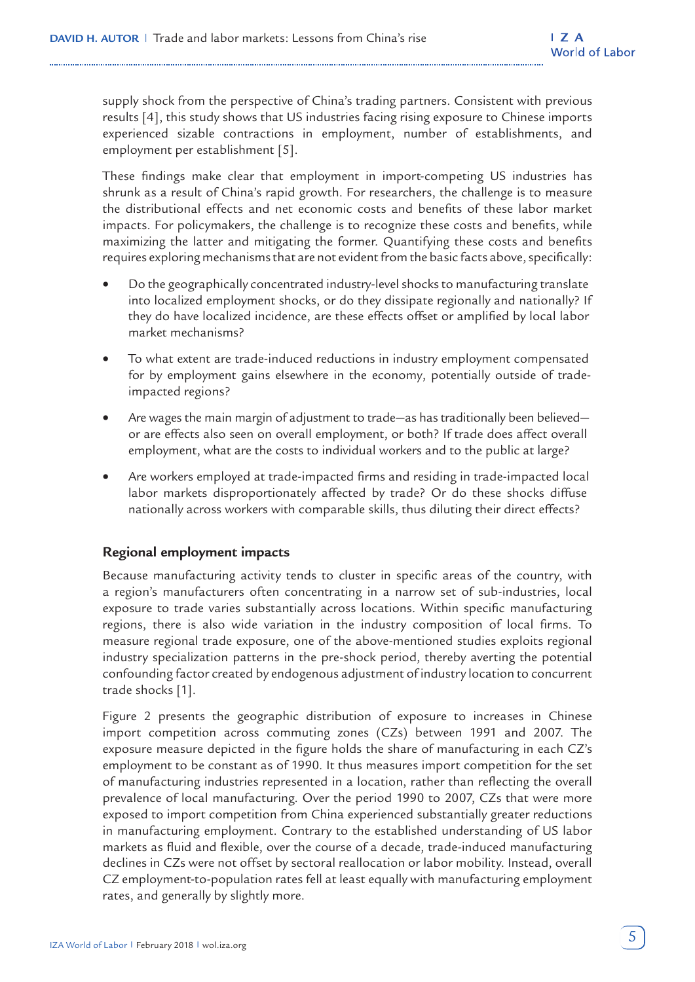supply shock from the perspective of China's trading partners. Consistent with previous results [4], this study shows that US industries facing rising exposure to Chinese imports experienced sizable contractions in employment, number of establishments, and employment per establishment [5].

These findings make clear that employment in import-competing US industries has shrunk as a result of China's rapid growth. For researchers, the challenge is to measure the distributional effects and net economic costs and benefits of these labor market impacts. For policymakers, the challenge is to recognize these costs and benefits, while maximizing the latter and mitigating the former. Quantifying these costs and benefits requires exploring mechanisms that are not evident from the basic facts above, specifically:

- Do the geographically concentrated industry-level shocks to manufacturing translate into localized employment shocks, or do they dissipate regionally and nationally? If they do have localized incidence, are these effects offset or amplified by local labor market mechanisms?
- To what extent are trade-induced reductions in industry employment compensated for by employment gains elsewhere in the economy, potentially outside of tradeimpacted regions?
- Are wages the main margin of adjustment to trade—as has traditionally been believed or are effects also seen on overall employment, or both? If trade does affect overall employment, what are the costs to individual workers and to the public at large?
- Are workers employed at trade-impacted firms and residing in trade-impacted local labor markets disproportionately affected by trade? Or do these shocks diffuse nationally across workers with comparable skills, thus diluting their direct effects?

## **Regional employment impacts**

Because manufacturing activity tends to cluster in specific areas of the country, with a region's manufacturers often concentrating in a narrow set of sub-industries, local exposure to trade varies substantially across locations. Within specific manufacturing regions, there is also wide variation in the industry composition of local firms. To measure regional trade exposure, one of the above-mentioned studies exploits regional industry specialization patterns in the pre-shock period, thereby averting the potential confounding factor created by endogenous adjustment of industry location to concurrent trade shocks [1].

Figure 2 presents the geographic distribution of exposure to increases in Chinese import competition across commuting zones (CZs) between 1991 and 2007. The exposure measure depicted in the figure holds the share of manufacturing in each CZ's employment to be constant as of 1990. It thus measures import competition for the set of manufacturing industries represented in a location, rather than reflecting the overall prevalence of local manufacturing. Over the period 1990 to 2007, CZs that were more exposed to import competition from China experienced substantially greater reductions in manufacturing employment. Contrary to the established understanding of US labor markets as fluid and flexible, over the course of a decade, trade-induced manufacturing declines in CZs were not offset by sectoral reallocation or labor mobility. Instead, overall CZ employment-to-population rates fell at least equally with manufacturing employment rates, and generally by slightly more.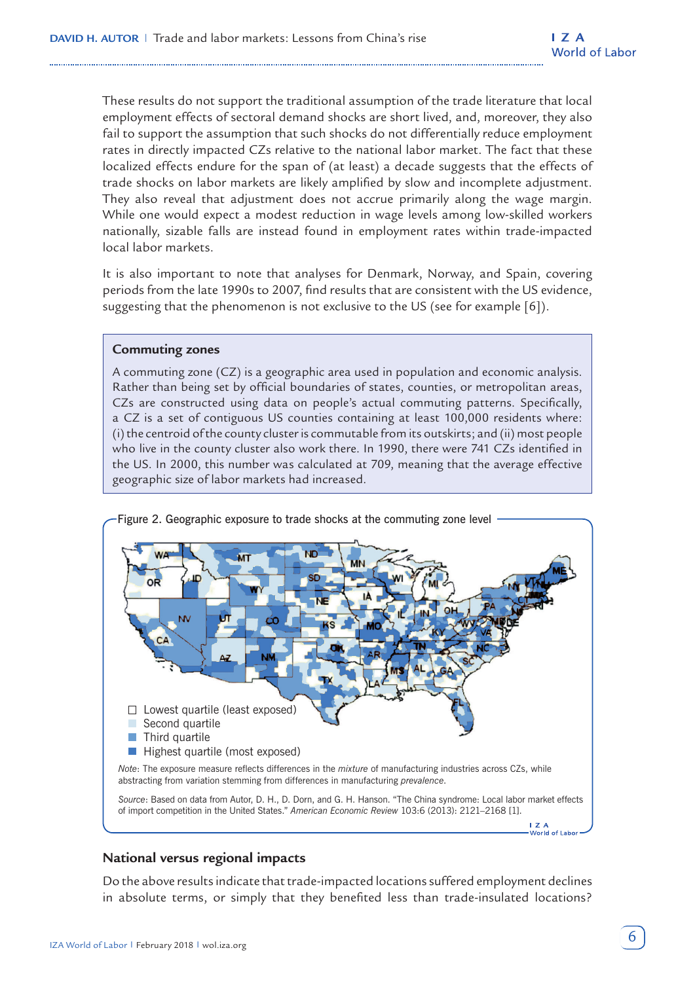These results do not support the traditional assumption of the trade literature that local employment effects of sectoral demand shocks are short lived, and, moreover, they also fail to support the assumption that such shocks do not differentially reduce employment rates in directly impacted CZs relative to the national labor market. The fact that these localized effects endure for the span of (at least) a decade suggests that the effects of trade shocks on labor markets are likely amplified by slow and incomplete adjustment. They also reveal that adjustment does not accrue primarily along the wage margin. While one would expect a modest reduction in wage levels among low-skilled workers nationally, sizable falls are instead found in employment rates within trade-impacted local labor markets.

It is also important to note that analyses for Denmark, Norway, and Spain, covering periods from the late 1990s to 2007, find results that are consistent with the US evidence, suggesting that the phenomenon is not exclusive to the US (see for example [6]).

#### **Commuting zones**

A commuting zone (CZ) is a geographic area used in population and economic analysis. Rather than being set by official boundaries of states, counties, or metropolitan areas, CZs are constructed using data on people's actual commuting patterns. Specifically, a CZ is a set of contiguous US counties containing at least 100,000 residents where: (i) the centroid of the county cluster is commutable from its outskirts; and (ii) most people who live in the county cluster also work there. In 1990, there were 741 CZs identified in the US. In 2000, this number was calculated at 709, meaning that the average effective geographic size of labor markets had increased.



Figure 2. Geographic exposure to trade shocks at the commuting zone level

# **National versus regional impacts**

Do the above results indicate that trade-impacted locations suffered employment declines in absolute terms, or simply that they benefited less than trade-insulated locations?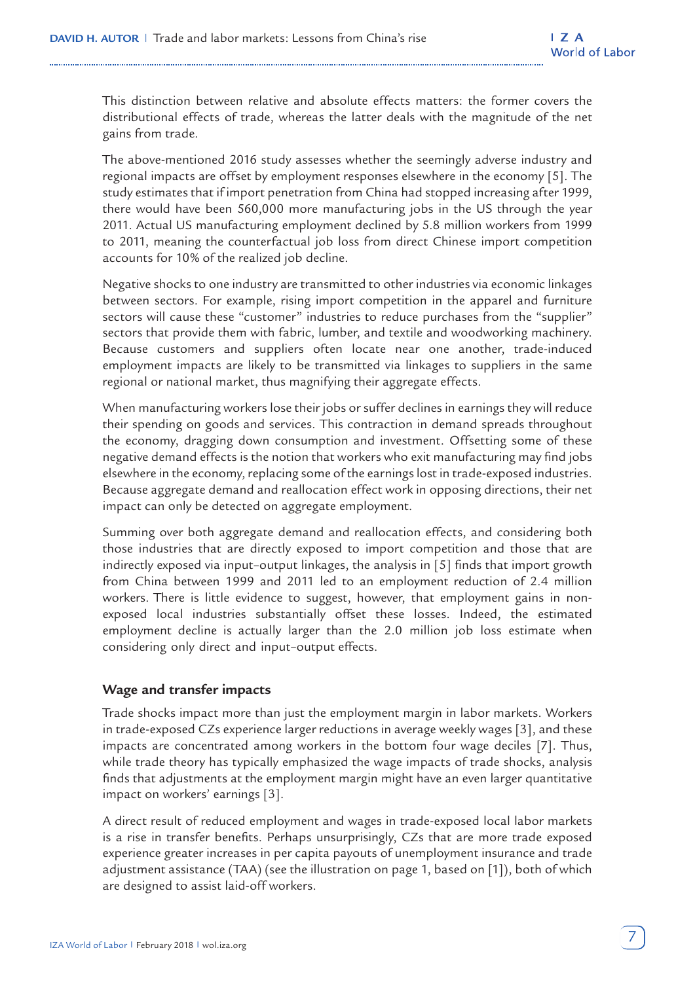This distinction between relative and absolute effects matters: the former covers the distributional effects of trade, whereas the latter deals with the magnitude of the net gains from trade.

The above-mentioned 2016 study assesses whether the seemingly adverse industry and regional impacts are offset by employment responses elsewhere in the economy [5]. The study estimates that if import penetration from China had stopped increasing after 1999, there would have been 560,000 more manufacturing jobs in the US through the year 2011. Actual US manufacturing employment declined by 5.8 million workers from 1999 to 2011, meaning the counterfactual job loss from direct Chinese import competition accounts for 10% of the realized job decline.

Negative shocks to one industry are transmitted to other industries via economic linkages between sectors. For example, rising import competition in the apparel and furniture sectors will cause these "customer" industries to reduce purchases from the "supplier" sectors that provide them with fabric, lumber, and textile and woodworking machinery. Because customers and suppliers often locate near one another, trade-induced employment impacts are likely to be transmitted via linkages to suppliers in the same regional or national market, thus magnifying their aggregate effects.

When manufacturing workers lose their jobs or suffer declines in earnings they will reduce their spending on goods and services. This contraction in demand spreads throughout the economy, dragging down consumption and investment. Offsetting some of these negative demand effects is the notion that workers who exit manufacturing may find jobs elsewhere in the economy, replacing some of the earnings lost in trade-exposed industries. Because aggregate demand and reallocation effect work in opposing directions, their net impact can only be detected on aggregate employment.

Summing over both aggregate demand and reallocation effects, and considering both those industries that are directly exposed to import competition and those that are indirectly exposed via input–output linkages, the analysis in [5] finds that import growth from China between 1999 and 2011 led to an employment reduction of 2.4 million workers. There is little evidence to suggest, however, that employment gains in nonexposed local industries substantially offset these losses. Indeed, the estimated employment decline is actually larger than the 2.0 million job loss estimate when considering only direct and input–output effects.

## **Wage and transfer impacts**

Trade shocks impact more than just the employment margin in labor markets. Workers in trade-exposed CZs experience larger reductions in average weekly wages [3], and these impacts are concentrated among workers in the bottom four wage deciles [7]. Thus, while trade theory has typically emphasized the wage impacts of trade shocks, analysis finds that adjustments at the employment margin might have an even larger quantitative impact on workers' earnings [3].

A direct result of reduced employment and wages in trade-exposed local labor markets is a rise in transfer benefits. Perhaps unsurprisingly, CZs that are more trade exposed experience greater increases in per capita payouts of unemployment insurance and trade adjustment assistance (TAA) (see the illustration on page 1, based on [1]), both of which are designed to assist laid-off workers.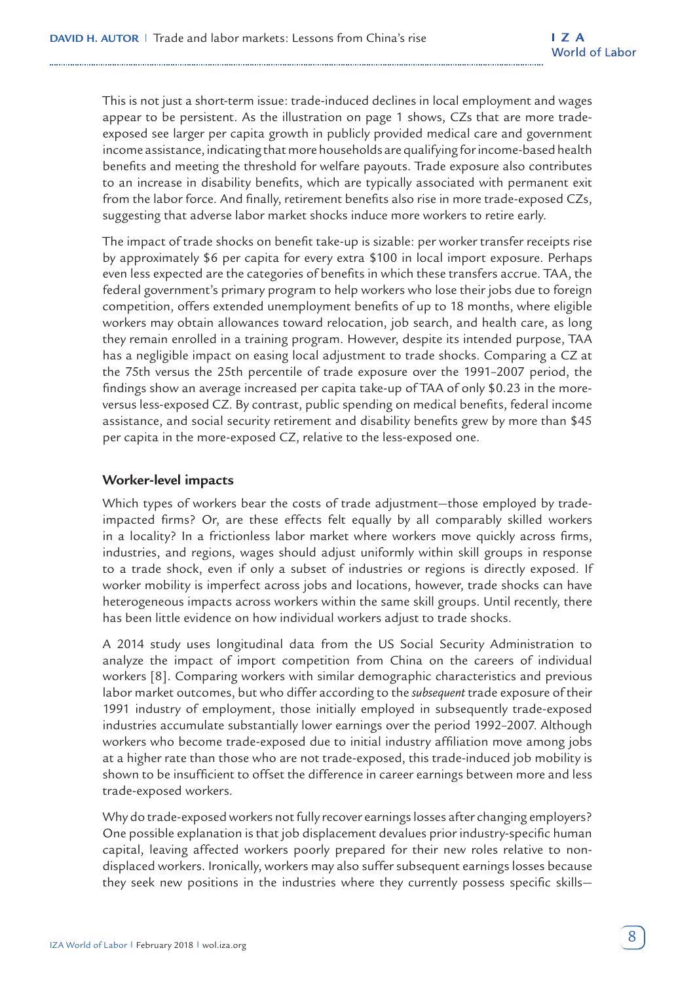This is not just a short-term issue: trade-induced declines in local employment and wages appear to be persistent. As the illustration on page 1 shows, CZs that are more tradeexposed see larger per capita growth in publicly provided medical care and government income assistance, indicating that more households are qualifying for income-based health benefits and meeting the threshold for welfare payouts. Trade exposure also contributes to an increase in disability benefits, which are typically associated with permanent exit from the labor force. And finally, retirement benefits also rise in more trade-exposed CZs, suggesting that adverse labor market shocks induce more workers to retire early.

The impact of trade shocks on benefit take-up is sizable: per worker transfer receipts rise by approximately \$6 per capita for every extra \$100 in local import exposure. Perhaps even less expected are the categories of benefits in which these transfers accrue. TAA, the federal government's primary program to help workers who lose their jobs due to foreign competition, offers extended unemployment benefits of up to 18 months, where eligible workers may obtain allowances toward relocation, job search, and health care, as long they remain enrolled in a training program. However, despite its intended purpose, TAA has a negligible impact on easing local adjustment to trade shocks. Comparing a CZ at the 75th versus the 25th percentile of trade exposure over the 1991–2007 period, the findings show an average increased per capita take-up of TAA of only \$0.23 in the moreversus less-exposed CZ. By contrast, public spending on medical benefits, federal income assistance, and social security retirement and disability benefits grew by more than \$45 per capita in the more-exposed CZ, relative to the less-exposed one.

## **Worker-level impacts**

Which types of workers bear the costs of trade adjustment—those employed by tradeimpacted firms? Or, are these effects felt equally by all comparably skilled workers in a locality? In a frictionless labor market where workers move quickly across firms, industries, and regions, wages should adjust uniformly within skill groups in response to a trade shock, even if only a subset of industries or regions is directly exposed. If worker mobility is imperfect across jobs and locations, however, trade shocks can have heterogeneous impacts across workers within the same skill groups. Until recently, there has been little evidence on how individual workers adjust to trade shocks.

A 2014 study uses longitudinal data from the US Social Security Administration to analyze the impact of import competition from China on the careers of individual workers [8]. Comparing workers with similar demographic characteristics and previous labor market outcomes, but who differ according to the *subsequent* trade exposure of their 1991 industry of employment, those initially employed in subsequently trade-exposed industries accumulate substantially lower earnings over the period 1992–2007. Although workers who become trade-exposed due to initial industry affiliation move among jobs at a higher rate than those who are not trade-exposed, this trade-induced job mobility is shown to be insufficient to offset the difference in career earnings between more and less trade-exposed workers.

Why do trade-exposed workers not fully recover earnings losses after changing employers? One possible explanation is that job displacement devalues prior industry-specific human capital, leaving affected workers poorly prepared for their new roles relative to nondisplaced workers. Ironically, workers may also suffer subsequent earnings losses because they seek new positions in the industries where they currently possess specific skills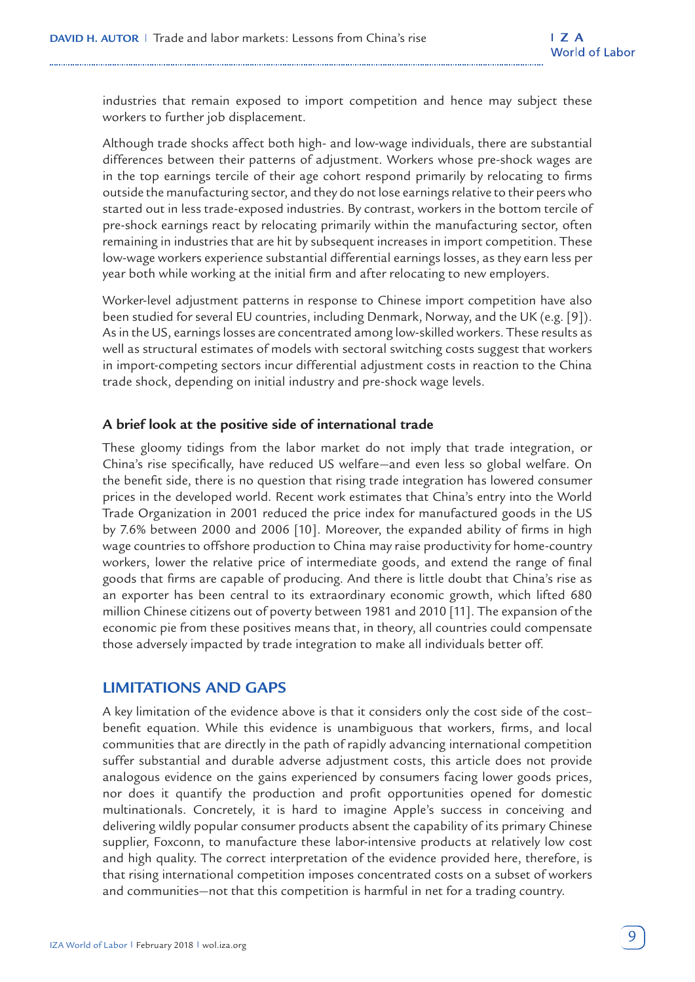industries that remain exposed to import competition and hence may subject these workers to further job displacement.

Although trade shocks affect both high- and low-wage individuals, there are substantial differences between their patterns of adjustment. Workers whose pre-shock wages are in the top earnings tercile of their age cohort respond primarily by relocating to firms outside the manufacturing sector, and they do not lose earnings relative to their peers who started out in less trade-exposed industries. By contrast, workers in the bottom tercile of pre-shock earnings react by relocating primarily within the manufacturing sector, often remaining in industries that are hit by subsequent increases in import competition. These low-wage workers experience substantial differential earnings losses, as they earn less per year both while working at the initial firm and after relocating to new employers.

Worker-level adjustment patterns in response to Chinese import competition have also been studied for several EU countries, including Denmark, Norway, and the UK (e.g. [9]). As in the US, earnings losses are concentrated among low-skilled workers. These results as well as structural estimates of models with sectoral switching costs suggest that workers in import-competing sectors incur differential adjustment costs in reaction to the China trade shock, depending on initial industry and pre-shock wage levels.

#### **A brief look at the positive side of international trade**

These gloomy tidings from the labor market do not imply that trade integration, or China's rise specifically, have reduced US welfare—and even less so global welfare. On the benefit side, there is no question that rising trade integration has lowered consumer prices in the developed world. Recent work estimates that China's entry into the World Trade Organization in 2001 reduced the price index for manufactured goods in the US by 7.6% between 2000 and 2006 [10]. Moreover, the expanded ability of firms in high wage countries to offshore production to China may raise productivity for home-country workers, lower the relative price of intermediate goods, and extend the range of final goods that firms are capable of producing. And there is little doubt that China's rise as an exporter has been central to its extraordinary economic growth, which lifted 680 million Chinese citizens out of poverty between 1981 and 2010 [11]. The expansion of the economic pie from these positives means that, in theory, all countries could compensate those adversely impacted by trade integration to make all individuals better off.

# **LIMITATIONS AND GAPS**

A key limitation of the evidence above is that it considers only the cost side of the cost– benefit equation. While this evidence is unambiguous that workers, firms, and local communities that are directly in the path of rapidly advancing international competition suffer substantial and durable adverse adjustment costs, this article does not provide analogous evidence on the gains experienced by consumers facing lower goods prices, nor does it quantify the production and profit opportunities opened for domestic multinationals. Concretely, it is hard to imagine Apple's success in conceiving and delivering wildly popular consumer products absent the capability of its primary Chinese supplier, Foxconn, to manufacture these labor-intensive products at relatively low cost and high quality. The correct interpretation of the evidence provided here, therefore, is that rising international competition imposes concentrated costs on a subset of workers and communities—not that this competition is harmful in net for a trading country.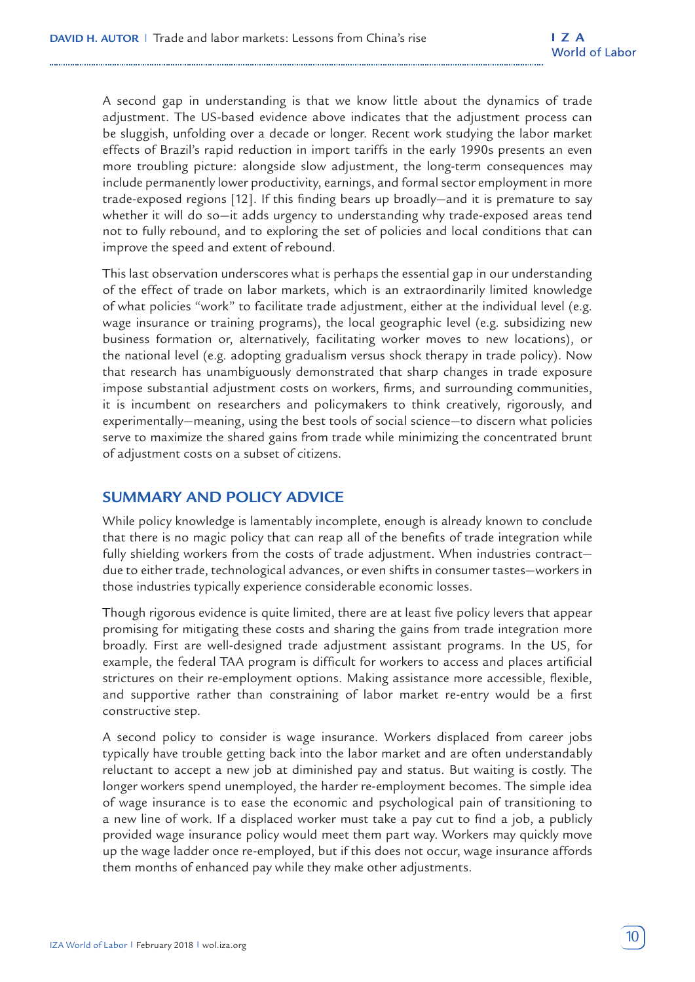A second gap in understanding is that we know little about the dynamics of trade adjustment. The US-based evidence above indicates that the adjustment process can be sluggish, unfolding over a decade or longer. Recent work studying the labor market effects of Brazil's rapid reduction in import tariffs in the early 1990s presents an even more troubling picture: alongside slow adjustment, the long-term consequences may include permanently lower productivity, earnings, and formal sector employment in more trade-exposed regions [12]. If this finding bears up broadly—and it is premature to say whether it will do so—it adds urgency to understanding why trade-exposed areas tend not to fully rebound, and to exploring the set of policies and local conditions that can improve the speed and extent of rebound.

This last observation underscores what is perhaps the essential gap in our understanding of the effect of trade on labor markets, which is an extraordinarily limited knowledge of what policies "work" to facilitate trade adjustment, either at the individual level (e.g. wage insurance or training programs), the local geographic level (e.g. subsidizing new business formation or, alternatively, facilitating worker moves to new locations), or the national level (e.g. adopting gradualism versus shock therapy in trade policy). Now that research has unambiguously demonstrated that sharp changes in trade exposure impose substantial adjustment costs on workers, firms, and surrounding communities, it is incumbent on researchers and policymakers to think creatively, rigorously, and experimentally—meaning, using the best tools of social science—to discern what policies serve to maximize the shared gains from trade while minimizing the concentrated brunt of adjustment costs on a subset of citizens.

# **SUMMARY AND POLICY ADVICE**

While policy knowledge is lamentably incomplete, enough is already known to conclude that there is no magic policy that can reap all of the benefits of trade integration while fully shielding workers from the costs of trade adjustment. When industries contract due to either trade, technological advances, or even shifts in consumer tastes—workers in those industries typically experience considerable economic losses.

Though rigorous evidence is quite limited, there are at least five policy levers that appear promising for mitigating these costs and sharing the gains from trade integration more broadly. First are well-designed trade adjustment assistant programs. In the US, for example, the federal TAA program is difficult for workers to access and places artificial strictures on their re-employment options. Making assistance more accessible, flexible, and supportive rather than constraining of labor market re-entry would be a first constructive step.

A second policy to consider is wage insurance. Workers displaced from career jobs typically have trouble getting back into the labor market and are often understandably reluctant to accept a new job at diminished pay and status. But waiting is costly. The longer workers spend unemployed, the harder re-employment becomes. The simple idea of wage insurance is to ease the economic and psychological pain of transitioning to a new line of work. If a displaced worker must take a pay cut to find a job, a publicly provided wage insurance policy would meet them part way. Workers may quickly move up the wage ladder once re-employed, but if this does not occur, wage insurance affords them months of enhanced pay while they make other adjustments.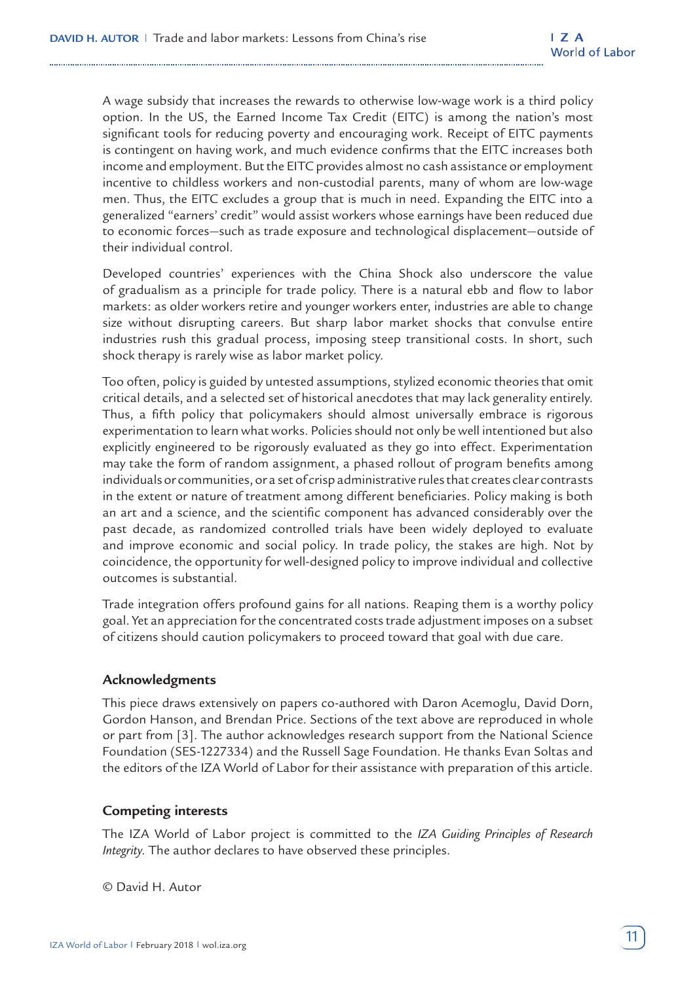A wage subsidy that increases the rewards to otherwise low-wage work is a third policy option. In the US, the Earned Income Tax Credit (EITC) is among the nation's most significant tools for reducing poverty and encouraging work. Receipt of EITC payments is contingent on having work, and much evidence confirms that the EITC increases both income and employment. But the EITC provides almost no cash assistance or employment incentive to childless workers and non-custodial parents, many of whom are low-wage men. Thus, the EITC excludes a group that is much in need. Expanding the EITC into a generalized "earners' credit" would assist workers whose earnings have been reduced due to economic forces—such as trade exposure and technological displacement—outside of their individual control.

Developed countries' experiences with the China Shock also underscore the value of gradualism as a principle for trade policy. There is a natural ebb and flow to labor markets: as older workers retire and younger workers enter, industries are able to change size without disrupting careers. But sharp labor market shocks that convulse entire industries rush this gradual process, imposing steep transitional costs. In short, such shock therapy is rarely wise as labor market policy.

Too often, policy is guided by untested assumptions, stylized economic theories that omit critical details, and a selected set of historical anecdotes that may lack generality entirely. Thus, a fifth policy that policymakers should almost universally embrace is rigorous experimentation to learn what works. Policies should not only be well intentioned but also explicitly engineered to be rigorously evaluated as they go into effect. Experimentation may take the form of random assignment, a phased rollout of program benefits among individuals or communities, or a set of crisp administrative rules that creates clear contrasts in the extent or nature of treatment among different beneficiaries. Policy making is both an art and a science, and the scientific component has advanced considerably over the past decade, as randomized controlled trials have been widely deployed to evaluate and improve economic and social policy. In trade policy, the stakes are high. Not by coincidence, the opportunity for well-designed policy to improve individual and collective outcomes is substantial.

Trade integration offers profound gains for all nations. Reaping them is a worthy policy goal. Yet an appreciation for the concentrated costs trade adjustment imposes on a subset of citizens should caution policymakers to proceed toward that goal with due care.

#### **Acknowledgments**

This piece draws extensively on papers co-authored with Daron Acemoglu, David Dorn, Gordon Hanson, and Brendan Price. Sections of the text above are reproduced in whole or part from [3]. The author acknowledges research support from the National Science Foundation (SES-1227334) and the Russell Sage Foundation. He thanks Evan Soltas and the editors of the IZA World of Labor for their assistance with preparation of this article.

#### **Competing interests**

The IZA World of Labor project is committed to the *IZA Guiding Principles of Research Integrity*. The author declares to have observed these principles.

© David H. Autor